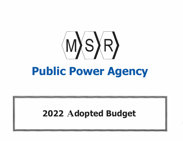

# **Public Power Agency**

# 2022 **A**dopted Budget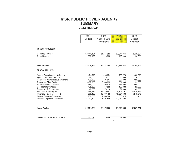# **MSR PUBLIC POWER AGENCY SUMMARY 2022 BUDGET**

|                                     | 2021          | 2021         | 2022          | 2023          |
|-------------------------------------|---------------|--------------|---------------|---------------|
|                                     | <b>Budget</b> | Year To Date | <b>Budget</b> | <b>Budget</b> |
|                                     |               | Estimated    |               | Estimate      |
|                                     |               |              |               |               |
| <b>FUNDS PROVIDED:</b>              |               |              |               |               |
| <b>Operating Revenue</b>            | 82,114,394    | 84,274,059   | 67,677,066    | 52,228,327    |
| Other Revenue                       | 800,000       | 210,000      | 190,000       | 160,000       |
|                                     |               |              |               |               |
| <b>Fund Provided</b>                | 82,914,394    | 84,484,059   | 67,867,066    | 52,388,327    |
| <b>FUNDS APPLIED:</b>               |               |              |               |               |
| Agency Administration & General     | 434,690       | 400,054      | 433,770       | 485,370       |
| <b>Agency Debt Administrative</b>   | 45,000        | 26,713       | 54,500        | 6,000         |
| Generation Administrative & General | 172,000       | 301,817      | 227,000       | 196,000       |
| <b>Generation Plant Costs</b>       | 3,437,000     | 3,300,000    | 1,791,000     | 129,000       |
| Renewable Administrative            | 486,000       | 403,478      | 461,000       | 455,000       |
| <b>Coordinating Services</b>        | 475,000       | 437,596      | 485,000       | 495,000       |
| Regulatory & Compliance             | 146,000       | 79,110       | 91,000        | 105,000       |
| Purchase Power-Big Horn 1           | 34,368,264    | 35,839,841   | 34,807,191    | 34,836,717    |
| Purchase Power-Big Horn 2           | 14,939,420    | 15,737,450   | 15,594,480    | 15,649,240    |
| Interest Expense-Generation         | 1.950.500     | 1,950,500    | 660,625       |               |
| Principal Payments-Generation       | 25,797.500    | 25,797,500   | 13,212,500    |               |
|                                     |               |              |               |               |
| <b>Funds Applied</b>                | 82,251,374    | 84,274,059   | 67,818,066    | 52,357,327    |
|                                     |               |              |               |               |
| <b>SURPLUS (DEFICIT) REVENUE</b>    | 663,020       | 210,000      | 49,000        | 31,000        |

 $\sim 100$  km s  $^{-1}$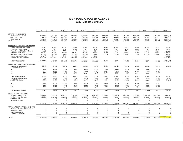#### **MSR PUBLIC POWER AGENCY 2022 Budget Summary**

|                                          | <b>JAN</b>  | FEB         | MAR         | <b>APR</b>  | MAY         | JUN       | JUL                      | AUG            | <b>SEP</b>  | OCT            | <b>NOV</b>     | DEC                      | <b>TOTAL</b> |
|------------------------------------------|-------------|-------------|-------------|-------------|-------------|-----------|--------------------------|----------------|-------------|----------------|----------------|--------------------------|--------------|
|                                          |             |             |             |             |             |           |                          |                |             |                |                |                          |              |
| <b>REVENUE FROM MEMBERS</b>              |             |             |             |             |             |           |                          |                |             |                |                |                          |              |
| Modesto Irrigation District              | 2.520.395   | 2,684,437   | 2,811,388   | 2,869,468   | 2,573,755   | 2,605,735 | 1,039,688                | 997,138        | 1,044,593   | 1,263,676      | 1,321,679      | 1,264,497                | 22,996,449   |
| City of Santa Clara                      | 2,735,029   | 2,977,093   | 3,317,505   | 3,491,622   | 3,042,175   | 3,160,253 | 1,837,534                | 1,766,642      | 1,669,625   | 1,959,789      | 2,000,702      | 1,881,470                | 29,839,439   |
| City of Redding                          | 1,293,241   | 1,411,063   | 1,619,569   | 1,729,045   | 1,506,620   | 1,583,919 | 985,720                  | 948,947        | 855,009     | 986,982        | 994.449        | 926,614                  | 14,841,178   |
|                                          |             |             |             |             | 7,122,550   | 7,349,907 | 3,862,942                | 3,712,727      | 3,569,227   | 4,210,447      | 4,316,830      | 4,072,581                | 67,677,066   |
| <b>TOTAL</b>                             | 6,548,665   | 7,072,593   | 7,748,462   | 8,090,135   |             |           |                          |                |             |                |                |                          |              |
|                                          |             |             |             |             |             |           |                          |                |             |                |                |                          |              |
|                                          |             |             |             |             |             |           |                          |                |             |                |                |                          |              |
| <b>BUDGET AMOUNTS / TRUE UP YEAR END</b> |             |             |             |             |             |           |                          |                |             |                |                |                          |              |
| Agency Administration & General          | 52,080      | 52,081      | 52,081      | 52,081      | 52,081      | 52,081    | 20,215                   | 20,214         | 20,214      | 20,214         | 20,214         | 20,214                   | 433,770      |
| Agency Debt Administrative               | 4.545       | 4.541       | 4,541       | 4,541       | 4,541       | 4,541     | 4,545                    | 4,541          | 4,541       | 4,541          | 4,541          | 4,541                    | 54,500       |
| Generation Administrative & General      | 18,920      | 18,916      | 18,916      | 18,916      | 18,916      | 18,916    | 18,920                   | 18.916         | 18,916      | 18,916         | 18,916         | 18,916                   | 227,000      |
| <b>Generation Plant Costs</b>            | 286,750     | 286,750     | 286,750     | 286,750     | 286,750     | 286,750   | 11,750                   | 11,750         | 11,750      | 11,750         | 11,750         | 11,750                   | 1,791,000    |
| Generation Plant Costs-Non Billiable     | (11,750)    | (11, 750)   | (11,750)    | (11,750)    | (11,750)    | (11,750)  | (11, 750)                | (11, 750)      | (11,750)    | (11, 750)      | (11, 750)      | (11,750)                 | (141,000)    |
|                                          |             |             |             |             |             |           | $\sim$                   |                |             | $\overline{a}$ |                |                          | 660,625      |
| Interest Expense-Generation              | 110,105     | 110,104     | 110,104     | 110,104     | 110,104     | 110,104   |                          |                |             |                |                |                          |              |
| Principal Payments-Generation            | 2,202,085   | 2,202,083   | 2,202,083   | 2,202,083   | 2,202,083   | 2,202,083 | $\overline{\phantom{a}}$ | $\overline{a}$ |             | ٠              | $\overline{a}$ | $\overline{\phantom{a}}$ | 13,212,500   |
| ALLOCATED 50/35/15                       | 2,662,735   | 2,662,725   | 2,662,725   | 2,662,725   | 2,662,725   | 2,662,725 | 43,680                   | 43,671         | 43,671      | 43,671         | 43,671         | 43,671                   | 16,238,395   |
|                                          |             |             |             |             |             |           |                          |                |             |                |                |                          |              |
| <b>BUDGET AMOUNTS / TRUE UP YEAR END</b> |             |             |             |             |             |           |                          |                |             |                |                |                          |              |
| Renewable Administrative                 | 38,410      | 38,418      | 38,418      | 38,418      | 38,418      | 38,418    | 38,410                   | 38,418         | 38,418      | 38,418         | 38,418         | 38,418                   | 461,000      |
|                                          |             |             |             |             |             |           |                          |                |             |                |                |                          |              |
| ALLOCATED 23/49/28                       |             |             |             |             |             |           |                          |                |             |                |                |                          |              |
| MID                                      | 8,834       | 8,836       | 8.836       | 8,836       | 8,836       | 8,836     | 8,834                    | 8,836          | 8,836       | 8,836          | 8,836          | 8,836                    |              |
| SC                                       | 18,821      | 18,825      | 18,825      | 18,825      | 18,825      | 18,825    | 18,821                   | 18,825         | 18,825      | 18,825         | 18,825         | 18,825                   |              |
| <b>REU</b>                               | 10,755      | 10.757      | 10.757      | 10.757      | 10,757      | 10,757    | 10,755                   | 10,757         | 10,757      | 10,757         | 10.757         | 10,757                   |              |
|                                          |             |             |             |             |             |           |                          |                |             |                |                |                          |              |
| <b>Coordinating Services</b>             | 40,415      | 40,417      | 40,417      | 40,417      | 40,417      | 40,417    | 40.415                   | 40,417         | 40,417      | 40,417         | 40,417         | 40,417                   | 485,000      |
| <b>Regulatory &amp; Compliance</b>       | 7,585       | 7,583       | 7.583       | 7,583       | 7,583       | 7,583     | 7.585                    | 7,583          | 7,583       | 7.583          | 7.583          | 7.583                    | 91,000       |
| ALLOCATED 40/40/20                       | 48,000      | 48,000      | 48,000      | 48,000      | 48,000      | 48,000    | 48,000                   | 48,000         | 48,000      | 48,000         | 48,000         | 48,000                   | 576,000      |
|                                          |             |             |             |             |             |           |                          |                |             |                |                |                          |              |
| <b>MID</b>                               | 19,200      | 19,200      | 19,200      | 19,200      | 19,200      | 19,200    | 19,200                   | 19,200         | 19,200      | 19,200         | 19,200         | 19.200                   |              |
| SC                                       | 19,200      | 19,200      | 19,200      | 19,200      | 19,200      | 19,200    | 19,200                   | 19,200         | 19,200      | 19,200         | 19,200         | 19,200                   |              |
| <b>REU</b>                               | 9,600       | 9,600       | 9,600       | 9,600       | 9,600       | 9,600     | 9,600                    | 9,600          | 9,600       | 9,600          | 9,600          | 9,600                    |              |
|                                          |             |             |             |             |             |           |                          |                |             |                |                |                          |              |
| Renewable & Overheads                    | 86,410      | 86,418      | 86,418      | 86,418      | 86,418      | 86,418    | 86,410                   | 86,418         | 86,418      | 86,418         | 86,418         | 86,418                   | 1,037,000    |
|                                          |             |             |             |             |             |           |                          |                |             |                |                |                          |              |
| <b>ACTUAL VARIABLE AMOUNTS</b>           |             |             |             |             |             |           |                          |                |             |                |                |                          |              |
| Purchase Power-Big Hom 1                 | 2,499,986   | 2,837,254   | 3,434,112   | 3.747.493   | 3,110,789   | 3,332,062 | 2,744,267                | 2,639,000      | 2,370,097   | 2,747,876      | 2.769.189      | 2,575,066                | 34,807,191   |
| Purchase Power-Big Horn 2                | 1,299,534   | 1,486,195   | 1,565,206   | 1,593,498   | 1,262,617   | 1,268,701 | 988,585                  | 943,637        | 1,069,040   | 1,332,481      | 1,417,551      | 1,367,435                | 15,594,480   |
| Generation Fuel                          | $\mathbf 0$ | 0           | $^{\circ}$  | $\mathbf 0$ | 0           | 0         | $\Omega$                 | 0              | 0           | $^{\circ}$     | 0              | 0                        | $\Omega$     |
| <b>Transmission Losses</b>               | 0           | 0           | $\mathbf 0$ | 0           | $\Omega$    | $\Omega$  | $^{\circ}$               | 0              | $\mathbb O$ | $\Omega$       | 0              | $\circ$                  | $\Omega$     |
|                                          |             |             |             |             |             |           |                          |                |             |                |                |                          |              |
|                                          | 3,799,520   | 4.323.449   | 4,999,318   | 5,340,991   | 4,373,406   | 4,600,763 | 3,732,852                | 3,582,637      | 3,439,137   | 4,080,357      | 4,186,740      | 3,942,501                | 50,401,671   |
|                                          |             |             |             |             |             |           |                          |                |             |                |                |                          |              |
| <b>ACTUAL AMOUNTS (OWNERSHIP SHARE)</b>  |             |             |             |             |             |           |                          |                |             |                |                |                          |              |
| Generation Operation & Maintenance       | 0           | $\mathbf 0$ | 0           | 0           | $^{\circ}$  | 0         | $^{\circ}$               | 0              | $\mathbf 0$ | 0              | 0              | 0                        | $\Omega$     |
| <b>Generation Capital</b>                | 0           | $\Omega$    | 0           | $\circ$     | $\mathbf 0$ | 0         | $\Omega$                 | 0              | $\mathbf 0$ | $\mathbf 0$    | $\Omega$       | 0                        | $\Omega$     |
| <b>Transmission Capital</b>              | $\Omega$    | 0           | 0           | $^{\circ}$  | 0           | $\Omega$  | 0                        | $\Omega$       | $\circ$     | $\Omega$       | $\Omega$       | 0                        | 0            |
|                                          | $\Omega$    | $\Omega$    | 0           | $\Omega$    | $^{\circ}$  | $\Omega$  | $\Omega$                 | 0              | $\Omega$    | $\Omega$       | 0              | $\Omega$                 | $\Omega$     |
| ALLOCATED 50/35/15                       |             |             |             |             |             |           |                          |                |             |                |                |                          |              |
| <b>TOTAL</b>                             | 6,548,665   | 7,072,592   | 7,748,461   | 8,090,134   | 7,122,549   | 7,349,906 | 3,862,942                | 3,712,726      | 3,569,226   | 4,210,446      | 4,316,829      | 4,072,530                | 67,677,066   |
|                                          |             |             |             |             |             |           |                          |                |             |                |                |                          |              |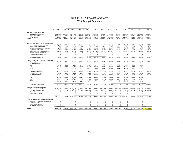#### **MSR PUBLIC POWER AGENCY 2023 Budget Summary**

|                                          | <b>JAN</b> | FEB        | <b>MAR</b> | <b>APR</b>  | MAY       | JUN           | JUL           | AUG           | <b>SEP</b>    | OCT           | <b>NOV</b> | DEC              | <b>TOTAL</b> |
|------------------------------------------|------------|------------|------------|-------------|-----------|---------------|---------------|---------------|---------------|---------------|------------|------------------|--------------|
|                                          |            |            |            |             |           |               |               |               |               |               |            |                  |              |
| <b>REVENUE FROM MEMBERS</b>              |            |            |            |             |           |               |               |               |               |               |            |                  |              |
| Modesto Irrigation District              | 1,230,002  | 1.394.463  | 1.521.590  | 1,579,733   | 1,283,281 | 1,315,275     | 1,039,647     | 996,996       | 1.044.731     | 1,267,901     | 1,326,106  | 1,268,724        | 15,268,449   |
| City of Santa Clara                      | 1,831,442  | 2,073,731  | 2.414.237  | 2,588,389   | 2,138,543 | 2,256,629     | 1,837,304     | 1,766,358     | 1.669.492     | 1.966.452     | 2,007,512  | 1,887,818        | 24,437,907   |
| City of Redding                          | 905,457    | 1,023,278  | 1,231,784  | 1,341,260   | 1,118,835 | 1.196.134     | 985,249       | 948,475       | 854.537       | 990,024       | 997,521    | 929.417          | 12,521,971   |
| <b>TOTAL</b>                             | 3.966.901  | 4.491.472  | 5,167,611  | 5,509,382   | 4,540,659 | 4,768,038     | 3,862,200     | 3,711,829     | 3,568,760     | 4.224,377     | 4,331,139  | 4,085,959        | 52,228,327   |
|                                          |            |            |            |             |           |               |               |               |               |               |            |                  |              |
|                                          |            |            |            |             |           |               |               |               |               |               |            |                  |              |
|                                          |            |            |            |             |           |               |               |               |               |               |            |                  |              |
| BUDGET AMOUNTS / TRUE UP YEAR END        |            |            |            |             |           |               |               |               |               |               | 21,963     | 21,963           | 485,370      |
| Agency Administration & General          | 58,935     | 58,930     | 58,930     | 58,930      | 58,930    | 58,930<br>500 | 21,970<br>500 | 21,963<br>500 | 21,963<br>500 | 21,963<br>500 | 500        | 500              | 6,000        |
| Agency Debt Administrative               | 500        | 500        | 500        | 500         | 500       |               |               |               |               |               |            |                  | 196,000      |
| Generation Administrative & General      | 16,335     | 16,333     | 16,333     | 16.333      | 16,333    | 16,333        | 16,335        | 16,333        | 16.333        | 16,333        | 16,333     | 16,333<br>10,750 | 129,000      |
| <b>Generation Plant Costs</b>            | 10,750     | 10,750     | 10.750     | 10.750      | 10.750    | 10,750        | 10,750        | 10,750        | 10,750        | 10,750        | 10,750     |                  |              |
| Generation Plant Costs-Non Billiable     | (10, 750)  | (10, 750)  | (10,750)   | (10, 750)   | (10, 750) | (10, 750)     | (10, 750)     | (10, 750)     | (10, 750)     | (10, 750)     | (10, 750)  | (10, 750)        | (129,000)    |
| Interest Expense-Generation              | $\circ$    | $\Omega$   | 0          | $\Omega$    | $\Omega$  | $\Omega$      | $\Omega$      | $\Omega$      | 0             | $\Omega$      | 0          | $\Omega$         | $\Omega$     |
| Principal Payments-Generation            | 0          | $\Omega$   | $\Omega$   | $\circ$     | $\Omega$  | 0             | $\Omega$      | $\Omega$      | $\circ$       | 0             | 0          | $^{\circ}$       | $\Omega$     |
|                                          |            |            |            |             |           |               |               |               |               |               |            |                  |              |
| ALLOCATED 50/35/15                       | 75,770     | 75.763     | 75,763     | 75,763      | 75.763    | 75.763        | 38,805        | 38,796        | 38,796        | 38,796        | 38,796     | 38,796           | 687,370      |
|                                          |            |            |            |             |           |               |               |               |               |               |            |                  |              |
| <b>BUDGET AMOUNTS / TRUE UP YEAR END</b> |            |            |            |             |           |               |               |               |               |               |            |                  |              |
| Renewable Administrative                 | 37,910     | 37,918     | 37,918     | 37,918      | 37,918    | 37,918        | 37,910        | 37,918        | 37,918        | 37,918        | 37,918     | 37,918           | 455,000      |
| ALLOCATED 23/49/28                       |            |            |            |             |           |               |               |               |               |               |            |                  |              |
| MID                                      | 8,719      | 8,721      | 8,721      | 8,721       | 8,721     | 8.721         | 8,719         | 8,721         | 8.721         | 8.721         | 8.721      | 8,721            |              |
| SC                                       | 18,576     | 18,580     | 18,580     | 18,580      | 18,580    | 18,580        | 18,576        | 18,580        | 18,580        | 18,580        | 18,580     | 18,580           |              |
| <b>REU</b>                               | 10,615     | 10,617     | 10,617     | 10,617      | 10.617    | 10.617        | 10,615        | 10,617        | 10.617        | 10.617        | 10.617     | 10,617           |              |
|                                          |            |            |            |             |           |               |               |               |               |               |            |                  |              |
| <b>Coordinating Services</b>             | 41,250     | 41,250     | 41,250     | 41,250      | 41,250    | 41,250        | 41.250        | 41.250        | 41,250        | 41,250        | 41,250     | 41,250           | 495,000      |
| Regulatory & Compliance                  | 8,750      | 8,750      | 8,750      | 8.750       | 8,750     | 8,750         | 8,750         | 8,750         | 8.750         | 8,750         | 8,750      | 8,750            | 105,000      |
| ALLOCATED 40/40/20                       | 50,000     | 50,000     | 50,000     | 50,000      | 50,000    | 50,000        | 50,000        | 50,000        | 50,000        | 50,000        | 50,000     | 50,000           | 600,000      |
|                                          |            |            |            |             |           |               |               |               |               |               |            |                  |              |
| MID                                      | 20,000     | 20,000     | 20,000     | 20,000      | 20,000    | 20,000        | 20,000        | 20,000        | 20,000        | 20,000        | 20,000     | 20,000           |              |
| SC                                       | 20,000     | 20,000     | 20,000     | 20,000      | 20,000    | 20,000        | 20,000        | 20,000        | 20,000        | 20,000        | 20,000     | 20,000           |              |
|                                          |            |            |            |             |           |               |               | 10,000        | 10,000        | 10,000        | 10,000     | 10,000           |              |
| REU                                      | 10,000     | 10,000     | 10,000     | 10,000      | 10,000    | 10,000        | 10,000        |               |               |               |            |                  |              |
|                                          |            |            |            |             |           |               |               |               |               | 87.918        | 87.918     | 87,918           | 1,055,000    |
| Renewable & Overheads                    | 87,910     | 87,918     | 87.918     | 87,918      | 87.918    | 87.918        | 87,910        | 87,918        | 87,918        |               |            |                  |              |
|                                          |            |            |            |             |           |               |               |               |               |               |            |                  |              |
| <b>ACTUAL VARIABLE AMOUNTS</b>           |            |            |            |             |           |               |               |               |               |               |            |                  |              |
| Purchase Power-Big Horn 1                | 2.499.986  | 2,837,254  | 3,434,112  | 3,747,493   | 3.110.789 | 3.332.062     | 2,744,267     | 2,639,000     | 2,370,097     | 2,757,917     | 2,779,313  | 2,584,427        | 34.836,717   |
| Purchase Power-Big Horn 2                | 1,303,234  | 1,490,537  | 1,569,818  | 1,598,208   | 1,266,189 | 1,272,295     | 991,217       | 946,115       | 1,071,949     | 1,339,746     | 1,425,112  | 1,374,820        | 15,649,240   |
| <b>Generation Fuel</b>                   | $\circ$    | $\Omega$   | $\Omega$   | $\Omega$    | $\Omega$  | 0             | $\circ$       | $\Omega$      | $\circ$       | 0             | $\Omega$   | 0                | $\Omega$     |
| <b>Transmission Losses</b>               | 0          | $^{\circ}$ | $\Omega$   | $\circ$     | 0         | 0             | 0             | $\Omega$      | 0             | 0             | 0          | $\Omega$         | 0            |
|                                          |            |            |            |             |           |               |               |               |               |               |            |                  |              |
|                                          | 3,803,220  | 4.327.791  | 5,003,930  | 5,345,701   | 4,376,978 | 4.604.357     | 3.735.484     | 3,585,115     | 3,442,046     | 4,097,663     | 4.204.425  | 3,959,247        | 50,485,957   |
|                                          |            |            |            |             |           |               |               |               |               |               |            |                  |              |
| <b>ACTUAL AMOUNTS (OWNERSHIP SHARE)</b>  |            |            |            |             |           |               |               |               |               |               |            |                  |              |
| Generation Operation & Maintenance       | $\Omega$   | $\circ$    | $\circ$    | $\Omega$    | 0         | $\Omega$      | $\circ$       | $\Omega$      | $\circ$       | 0             | 0          | 0                | 0            |
| <b>Generation Capital</b>                | $\Omega$   | $^{\circ}$ | $\circ$    | $\mathbf 0$ | 0         | 0             | $\Omega$      | $\Omega$      | $\Omega$      | 0             | 0          | $\circ$          | $\mathbb O$  |
| <b>Transmission Capital</b>              | $\circ$    | 0          | $\circ$    | $\mathbf 0$ | 0         | $\Omega$      | 0             | 0             | $\Omega$      | 0             | 0          | 0                | 0            |
| ALLOCATED 50/35/15                       | 0          | $\circ$    | $\circ$    | $\circ$     | 0         | 0             | $\Omega$      | $\Omega$      | $\Omega$      | $\Omega$      | 0          | 0                | 0            |
|                                          |            |            |            |             |           |               |               |               |               |               |            |                  |              |
| <b>TOTAL</b>                             | 3,966,900  | 4.491.472  | 5.167,611  | 5,509,382   | 4,540,659 | 4.768.038     | 3,862,199     | 3,711,829     | 3,568,760     | 4,224,377     | 4,331,139  | 4,085,931        | 52.228.327   |

 $\geq$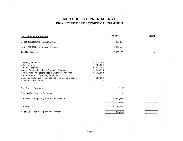# **MSR PUBLIC POWER AGENCY PROJECTED DEBT SERVICE CALCULATION**

| <b>Debt Service Requirements</b>                                                                                                                                                                                                                                                                                  | 2022                                                                                        | 2023 |
|-------------------------------------------------------------------------------------------------------------------------------------------------------------------------------------------------------------------------------------------------------------------------------------------------------------------|---------------------------------------------------------------------------------------------|------|
| Series 2018R Bonds Interest Expense                                                                                                                                                                                                                                                                               | 660,625                                                                                     |      |
| Series 2018R Bonds Principal Expense                                                                                                                                                                                                                                                                              | 13,212,500                                                                                  |      |
| <b>Total Debt Service</b>                                                                                                                                                                                                                                                                                         | 13,873,125                                                                                  |      |
| <b>Operating Revenue</b><br>Other Revenue<br><b>Operating Expense</b><br>Interest Expense included in Operating Expenses<br>Debt Service Principal included in Operating Expenses<br>Capital included in Operating Expenses<br>San Juan Reclamation Trust included in Operating Expense<br>Subtotal - Net Revenue | 67,677,066<br>190,000<br>(67, 677, 066)<br>660,625<br>13,212,500<br>1,650,000<br>15,713,125 |      |
| Debt Service Coverage                                                                                                                                                                                                                                                                                             | 1.133                                                                                       |      |
| Required Debt Service Coverage                                                                                                                                                                                                                                                                                    | 1.100                                                                                       |      |
| Net Revenue Required (110% of Debt Service)                                                                                                                                                                                                                                                                       | 15,260,438                                                                                  |      |
| Net Revenue                                                                                                                                                                                                                                                                                                       | 15,713,125                                                                                  |      |
| Additional Revenue Required for Coverage                                                                                                                                                                                                                                                                          | (452, 687)                                                                                  |      |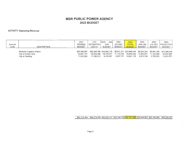#### **ACTIVITY Operating Revenue**

| Account<br>Code | <b>DESCRIPTION</b>                                                    | 2021<br><b>REVISED</b><br><b>BUDGET</b>  | <b>YTD</b><br>ESTIMATED  <br>12/31/21 | JAN<br>2022<br>JUN<br><b>BUDGET</b>                  | 2022<br>JUL-DEC<br>BUDGET | 2022<br><b>TOTAL</b><br><b>BUDGET</b>                | 2023<br>JAN-JUN<br><b>BUDGET</b> | 2023<br>JUL-DEC<br><b>BUDGET</b> | 2023<br>  PROJECTED <br><b>BUDGET</b>                            |
|-----------------|-----------------------------------------------------------------------|------------------------------------------|---------------------------------------|------------------------------------------------------|---------------------------|------------------------------------------------------|----------------------------------|----------------------------------|------------------------------------------------------------------|
|                 | Modesto Irrigation District<br>City of Santa Clara<br>City of Redding | \$30,269,697<br>34.821.747<br>17.022.950 | 35.824.380<br>17.500.912              | \$30,948,768 \$16,065,178<br>18.723.677<br>9,143,457 | 11.115.762<br>5,697,721   | \$6,931,271 \$22,996,449<br>29,839,439<br>14.841.178 | 13,302,971<br>6,816,748          | 11.134.936<br>5.705.223          | \$8,324,344 \$6,944,105 \$15,268,449<br>24.437.907<br>12,521,971 |

### \$82,114,394 \$84,274,059 \$43,932,312 \$23,744,754 \$67,677,066 \$28,444,063 \$23,784,264 \$52,228,327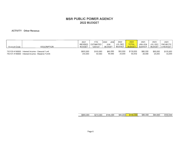#### **ACTIVITY Other Revenue**

| Account Code | <b>DESCRIPTION</b>                             | 2021<br>REVISED<br><b>BUDGET</b> | YTD<br>ESTIMATED<br>12/31/21 | JAN-<br>2022<br>JUN<br><b>BUDGET</b> | 2022<br>JUL-DEC<br>BUDGET | 2022<br><b>TOTAL</b><br><b>BUDGET</b> | 2023<br>JAN-JUN<br><b>BUDGET</b> | 2023<br>JUL-DEC<br><b>BUDGET</b> | 2023<br><b>PROJECTE</b><br>D BUDGET |
|--------------|------------------------------------------------|----------------------------------|------------------------------|--------------------------------------|---------------------------|---------------------------------------|----------------------------------|----------------------------------|-------------------------------------|
|              | 750130.4190000 Interest Income - General Fund  | \$600,000                        | \$150,000                    | \$65,000                             | \$65,000                  | \$130,000                             | \$60,000                         | \$60,000                         | \$120,000                           |
|              | 750131.4190000 Interest Income - Reserve Funds | 200,000                          | 60,000                       | 40.000                               | 20,000                    | 60,000                                | 20,000                           | 20,000                           | 40,000                              |

| \$800,000 | ৩∠ | \$210.000 | \$105,000 | \$85,000 | 200<br>90 | \$80,000 | ____<br>\$80,000 | \$160,000 |
|-----------|----|-----------|-----------|----------|-----------|----------|------------------|-----------|
|           |    |           |           |          |           |          |                  |           |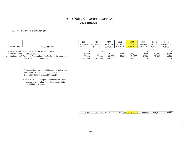#### **ACTIVITY Generation Plant Cost**

| Account Code   | <b>DESCRIPTION</b>                                                                                                                      | 2021<br><b>REVISED</b><br>BUDGET | YTD<br><b>ESTIMATED</b><br>12/31/21 | 2022<br>JAN-JUN<br><b>BUDGET</b> | 2022<br>JUL-DEC<br><b>BUDGET</b> | 2022<br><b>TOTAL</b><br><b>BUDGET</b> | 2023<br><b>JAN-JUN</b><br><b>BUDGET</b> | 2023<br>JUL-DEC  <br><b>BUDGET</b> | 2023<br><b>IPROJECTED</b><br><b>BUDGET</b> |
|----------------|-----------------------------------------------------------------------------------------------------------------------------------------|----------------------------------|-------------------------------------|----------------------------------|----------------------------------|---------------------------------------|-----------------------------------------|------------------------------------|--------------------------------------------|
| 302301.9230000 | San Juan Audit Fees-Moved to A&G                                                                                                        |                                  |                                     |                                  |                                  |                                       |                                         |                                    | 0                                          |
|                | 301303.4081000 * Reclamation Agent<br>301303.5060000 * San Juan Decommissioning/Enviromental Insurance<br>** Debt Service Coverage Fund | 40,000<br>97,000<br>3,300,000    | 23.161<br>86,560<br>3.300,000       | 20,000<br>50,500<br>1.650.000    | 20,000<br>50,500                 | 40,000<br>101,000<br>1.650,000        | 12.000<br>52.500                        | 12,000<br>52,500                   | 24,000<br>105,000<br>0                     |

\* These cost are not included in revenue and will paid from former San Juan Working Capital Resolution 2016-04 planned through 2028

\*\* Debt Service Coverage Fund Moved from Other Revenue to Generation Plant Cost in order to be included in funds applied

> \$3,437,000 \$3,409,721 \$1,720,500  $$70,500$   $$1,791,000$ \$64,500 \$64,500 \$129,000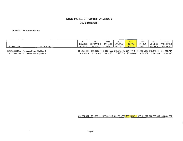#### **ACTIVITY Purchase Power**

 $\sim$ 

| Account Code | <b>DESCRIPTION</b>                                                                   | 2021<br><b>REVISED</b><br><b>BUDGET</b> | YTD.<br><b>ESTIMATED</b><br>12/31/21 | 2022<br>JAN-JUN<br>BUDGET | 2022<br>JUL-DEC<br>BUDGET | 2022<br><b>TOTAL</b><br><b>BUDGET</b> | 2023<br>JAN-JUN<br><b>BUDGET</b> | 2023<br>JUL-DEC<br><b>BUDGET</b> | 2023<br><b>PROJECTED</b><br>BUDGET                                                                       |
|--------------|--------------------------------------------------------------------------------------|-----------------------------------------|--------------------------------------|---------------------------|---------------------------|---------------------------------------|----------------------------------|----------------------------------|----------------------------------------------------------------------------------------------------------|
|              | 504313.55500xx Purchase Power-Big Horn 1<br>504313.5550012 Purchase Power-Big Horn 2 | \$34.368.264<br>14.939.420              | 15.737.450                           | 8.475.751                 | 7.118.729                 | 15.594.480                            | 8.500.281                        | 7.148.959                        | \$35,839,841 \$18,961,696 \$15,845,495 \$34,807,191 \$18,961,696 \$15,875,021 \$34,836,717<br>15.649.240 |

#### \$49,307,684 \$51,577,291 \$27,437,447 \$22,964,224 \$50,401,671 \$27,461,977 \$23,023,980 \$50,485,957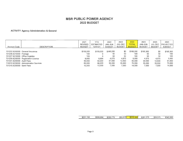#### **ACTIVITY Agency Administration & General**

| Account Code                   | <b>DESCRIPTION</b>                     | 2021<br><b>REVISED</b><br><b>BUDGET</b> | YTD.<br><b>ESTIMATED</b><br>12/31/21 | 2022<br><b>NUL-MAL</b><br><b>BUDGET</b> | 2022<br>JUL-DEC<br><b>BUDGET</b> | 2022<br><b>TOTAL</b><br><b>BUDGET</b> | 2023<br>JAN-JUN<br><b>BUDGET</b> | 2023<br>JUL-DEC<br><b>BUDGET</b> | 2023<br><b>IPROJECTED</b><br><b>BUDGET</b> |
|--------------------------------|----------------------------------------|-----------------------------------------|--------------------------------------|-----------------------------------------|----------------------------------|---------------------------------------|----------------------------------|----------------------------------|--------------------------------------------|
|                                |                                        |                                         |                                      |                                         |                                  |                                       |                                  |                                  |                                            |
|                                | 701202.9250000 General Insurance       | \$156,000                               | \$169,000                            | \$166,200                               | \$0                              | \$166,200                             | \$195,300                        | \$0                              | \$195,300                                  |
| 701206.9210000 Postage         |                                        | 100                                     |                                      | 50                                      | 50                               | 100                                   | 50                               | 50                               | 100                                        |
| 701207.9210000 Office Supplies |                                        | 100                                     |                                      | 50                                      | 50                               | 100                                   | 50                               | 50                               | 100                                        |
|                                | 701209.9230000 Registration License    | 9.950                                   | 8.684                                | 4,975                                   | 4,975                            | 9,950                                 | 4.975                            | 4,975                            | 9,950                                      |
| 701301.9230000 Audit Fees      |                                        | 50,000                                  | 50,000                               | 37,500                                  | 12,500                           | 50,000                                | 39,000                           | 12,500                           | 51,500                                     |
|                                | 710310.9230000 Administration Services | 60,000                                  | 66,000                               | 35,000                                  | 35,000                           | 70.000                                | 35,000                           | 35,000                           | 70,000                                     |
| 701315.9230000 Bank Fees       |                                        | 15,000                                  | 13,000                               | 7.000                                   | 7.000                            | 14,000                                | 7,000                            | 7,000                            | 14,000                                     |

| 150<br>\$291 | \$306.684 | \$250.775 | \$59,575 | 350<br>\$310. | \$281,375 | \$59,575 | \$340.950 |
|--------------|-----------|-----------|----------|---------------|-----------|----------|-----------|
|              |           |           |          |               |           |          |           |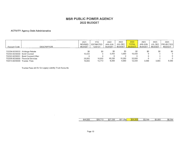#### **ACTIVITY Agency Debt Administrative**

| Account Code                | <b>DESCRIPTION</b>                | 2021<br><b>REVISED</b><br><b>BUDGET</b> | <b>YTD</b><br><b>ESTIMATED</b><br>12/31/21 | 2022<br><b>JAN-JUN</b><br><b>BUDGET</b> | 2022<br>JUL-DEC<br>BUDGET | 2022<br><b>TOTAL</b><br><b>BUDGET</b> | 2023<br>JAN-JUN<br><b>BUDGET</b> | 2023<br><b>BUDGET</b> | 2023<br>JUL-DEC IPROJECTEDI<br><b>BUDGET</b> |
|-----------------------------|-----------------------------------|-----------------------------------------|--------------------------------------------|-----------------------------------------|---------------------------|---------------------------------------|----------------------------------|-----------------------|----------------------------------------------|
|                             |                                   |                                         |                                            |                                         |                           |                                       |                                  |                       |                                              |
|                             | 702204.9230000 Arbitrage Rebate   | \$0                                     | \$0                                        | \$0                                     | \$0                       | \$0                                   | \$0                              | \$0                   | \$0                                          |
| 702303.9230000 Bond Counsel |                                   | 10,000                                  |                                            | 5,000                                   | 5,000                     | 10,000                                |                                  |                       | 0                                            |
|                             | 702303.9230001 Bond Counsel-Other |                                         |                                            |                                         |                           |                                       |                                  |                       | 0                                            |
|                             | 702308.9230000 Financial Services | 25,000                                  | 16,000                                     | 16,250                                  | 16,250                    | 32,500                                |                                  |                       | 0                                            |
| 702314.9230000 Trustee Fees |                                   | 10,000                                  | 10,713                                     | 6,000                                   | 6,000                     | 12,000                                | 3.000                            | 3,000                 | 6,000                                        |

Trustee Fees are for SJ Legacy Liability Trust Accounts

 $\sim 100$ 

| $\sim$<br>ገበር<br>\$45 |        | $\sim$ $\sim$ $\sim$<br>75U<br>.ה<br>-- | $nn -$<br>$\Omega$<br>-O'<br>᠊᠊ᡆ᠘ | ми<br><b>SD</b> | ooc<br>ጥ ′<br>л. | ־100<br>ጡ<br>.ה | . 00'<br>----- |
|-----------------------|--------|-----------------------------------------|-----------------------------------|-----------------|------------------|-----------------|----------------|
|                       | ------ |                                         |                                   |                 |                  |                 |                |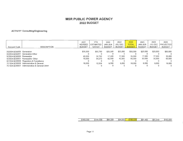#### **ACTIVITY Consulting/Engineering**

| Account Code              | <b>DESCRIPTION</b>                            | 2021<br><b>REVISED</b><br><b>BUDGET</b> | <b>YTD</b><br><b>ESTIMATED</b><br>12/31/21 | 2022<br>JAN-JUN<br><b>BUDGET</b> | 2022<br>JUL-DEC<br><b>BUDGET</b> | 2022<br><b>TOTAL</b><br><b>BUDGET</b> | 2023<br>JAN-JUN<br><b>BUDGET</b> | 2023<br>JUL-DEC<br><b>BUDGET</b> | 2023<br><b>PROJECTED</b><br><b>BUDGET</b> |
|---------------------------|-----------------------------------------------|-----------------------------------------|--------------------------------------------|----------------------------------|----------------------------------|---------------------------------------|----------------------------------|----------------------------------|-------------------------------------------|
| 302304.9230000 Generation |                                               | \$35,000                                | \$50,780                                   | \$25,000                         | \$25,000                         | \$50,000                              | \$25,000                         | \$25,000                         | \$50,000                                  |
|                           | 302304.9230001 Generation-Other               |                                         |                                            |                                  |                                  |                                       |                                  |                                  | $\Omega$                                  |
| 503304.9230000 Renewable  |                                               | 40,000                                  | 32,782                                     | 17,500                           | 17,500                           | 35,000                                | 17,500                           | 17,500                           | 35,000                                    |
|                           | 503304.9230001 Renewable - Other              | 70,000                                  | 54.273                                     | 42.500                           | 42.500                           | 85,000                                | 30,000                           | 30,000                           | 60,000                                    |
|                           | 601304.9230000 Regulatory & Compliance        |                                         |                                            |                                  |                                  |                                       |                                  |                                  | $\Omega$                                  |
|                           | 701304.9230000 Administrative & General       | 18,000                                  | 12.524                                     | 9,000                            | 9.000                            | 18,000                                | 9,000                            | 9.000                            | 18,000                                    |
|                           | 701304.9230001 Administrative & General-Other |                                         |                                            |                                  |                                  |                                       |                                  |                                  | $\Omega$                                  |

| \$163,000 | \$150.359 | .000<br>\$94 | \$94,000 | noni<br>88<br>$\mathfrak{F}$ | .500<br>\$81 | \$8<br>.500 | .000<br>\$163 |
|-----------|-----------|--------------|----------|------------------------------|--------------|-------------|---------------|
|           |           |              |          |                              |              |             |               |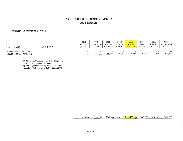#### **ACTIVITY Coordinating Services**

| Account Code                                          | <b>DESCRIPTION</b> | 2021<br>REVISED 1<br>BUDGET | YTD<br>ESTIMATED<br>12/31/21 | 2022<br>JAN-JUN<br><b>BUDGET</b> | 2022<br>JUL-DEC<br><b>BUDGET</b> | 2022<br><b>TOTAL</b><br><b>BUDGET</b> | 2023<br><b>JAN-JUN</b><br><b>BUDGET</b> | 2023<br>JUL-DEC<br><b>BUDGET</b> | 2023<br>PROJECTED<br><b>BUDGET</b> |
|-------------------------------------------------------|--------------------|-----------------------------|------------------------------|----------------------------------|----------------------------------|---------------------------------------|-----------------------------------------|----------------------------------|------------------------------------|
| 302311.5560000 Generation<br>503311.5560000 Renewable |                    | \$0<br>475,000              | \$0<br>437,596               | 242,500                          | 242,500                          | \$0<br>485,000                        | \$0<br>247,500                          | \$0<br>247,500                   | \$0<br>495,000                     |

2018 Forward, Coordinator costs are allocated to members based on contract count. Big Horn 1 (3 contracts}, Big Horn (2 contracts). Modesto 40%, Santa Clara 40%, Redding 20%

> \$475,000 \$437,596 \$242,500 \$242,500 \$485,000 \$247,500 \$247,500 \$495,000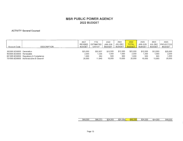#### **ACTIVITY General Counsel**

| Account Code                                          | <b>DESCRIPTION</b>                                                                | 2021<br><b>REVISED</b><br><b>BUDGET</b> | YTD.<br>ESTIMATED<br>12/31/21      | 2022<br>JAN-JUN<br><b>BUDGET</b>   | 2022<br>JUL-DEC<br><b>BUDGET</b>   | 2022<br><b>TOTAL</b><br><b>BUDGET</b> | 2023<br>JAN-JUN<br><b>BUDGET</b>   | 2023<br><b>JUL-DEC</b><br><b>BUDGET</b> | 2023<br> PROJECTED <br><b>BUDGET</b> |
|-------------------------------------------------------|-----------------------------------------------------------------------------------|-----------------------------------------|------------------------------------|------------------------------------|------------------------------------|---------------------------------------|------------------------------------|-----------------------------------------|--------------------------------------|
| 302305.9230000 Generation<br>503305.9230000 Renewable | 601305.9230000 Regulatory & Compliance<br>701305.9230000 Administrative & General | \$25,000<br>2,000<br>,000<br>20,000     | \$32,837<br>1,336<br>250<br>11,949 | \$12,500<br>1,000<br>500<br>10.000 | \$12,500<br>1,000<br>500<br>10,000 | \$25,000<br>2.000<br>1.000<br>20,000  | \$12,500<br>1,000<br>500<br>10,000 | \$12,500<br>1,000<br>500<br>10,000      | \$25,000<br>2,000<br>1,000<br>20,000 |

| 000<br>\$48. | $$46.37^{\circ}$$<br>∼ | 4.000<br>\$24 | 000 <br>\$24 | 000<br>648 | 4.000<br>ሖጣ<br>′ 24⊘ | 4.000<br>\$24 | ,000<br>\$48 |
|--------------|------------------------|---------------|--------------|------------|----------------------|---------------|--------------|
|              |                        |               |              |            |                      | .             |              |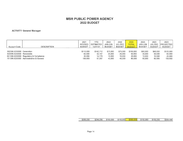#### **ACTIVITY General Manager**

| Account Code                                          | <b>DESCRIPTION</b>                                                                | 2021<br><b>REVISED</b><br><b>BUDGET</b>  | YTD.<br><b>ESTIMATED</b><br>12/31/21    | 2022<br>JAN-JUN<br><b>BUDGET</b>       | 2022<br>JUL-DEC<br><b>BUDGET</b>       | 2022<br><b>TOTAL</b><br><b>BUDGET</b>   | 2023<br>JAN-JUN<br><b>BUDGET</b>       | 2023<br><b>JUL-DEC</b><br><b>BUDGET</b> | 2023<br><b>PROJECTED</b><br><b>BUDGET</b> |
|-------------------------------------------------------|-----------------------------------------------------------------------------------|------------------------------------------|-----------------------------------------|----------------------------------------|----------------------------------------|-----------------------------------------|----------------------------------------|-----------------------------------------|-------------------------------------------|
| 302306.9230000 Generation<br>503306,9230000 Renewable | 601306.9230000 Regulatory & Compliance<br>701306.9230000 Administrative & General | \$110,000<br>60,000<br>30,000<br>100,000 | \$142,712<br>32.147<br>14.179<br>57.057 | \$75,000<br>25,000<br>10.000<br>40,000 | \$75,000<br>25,000<br>10,000<br>40,000 | \$150,000<br>50,000<br>20,000<br>80,000 | \$60,000<br>30,000<br>10,000<br>50,000 | \$60,000<br>30,000<br>10,000<br>50,000  | \$120,000<br>60,000<br>20,000<br>100,000  |

| \$246.095<br>\$300.000<br>.000'<br>00C<br>\$150<br>000<br>150.000<br>.00C<br>50<br>m 4<br>$\mathbb{C}^n$<br>ு 15பட<br>m.<br>m.<br>√n i<br>$\mathbf{D}$<br>- 10 ' |  |  |  | .         |
|------------------------------------------------------------------------------------------------------------------------------------------------------------------|--|--|--|-----------|
|                                                                                                                                                                  |  |  |  | \$300,000 |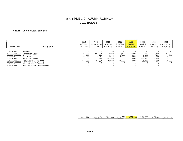#### **ACTIVITY Outside Legal Services**

| Account Code                                          | <b>DESCRIPTION</b>                                                                                                                                                                                        | 2021<br>REVISED<br><b>BUDGET</b>               | YTD<br><b>ESTIMATED</b><br>12/31/21                           | 2022<br><b>MUL-MAL</b><br><b>BUDGET</b>    | 2022<br>JUL-DEC<br><b>BUDGET</b>           | 2022<br><b>TOTAL</b><br><b>BUDGET</b>             | 2023<br>JAN-JUN<br><b>BUDGET</b>           | 2023<br>JUL-DEC<br><b>BUDGET</b>                | 2023<br><b>PROJECTED</b><br><b>BUDGET</b>                     |
|-------------------------------------------------------|-----------------------------------------------------------------------------------------------------------------------------------------------------------------------------------------------------------|------------------------------------------------|---------------------------------------------------------------|--------------------------------------------|--------------------------------------------|---------------------------------------------------|--------------------------------------------|-------------------------------------------------|---------------------------------------------------------------|
| 302309.9230000 Generation<br>503309.9230000 Renewable | 302309.9230001 Generation-Other<br>503309.9230001 Renewable - Other<br>601309.9230000 Regulatory & Compliance<br>701309.9230000 Administrative & General<br>701309.9230001 Administrative & General-Other | \$0<br>\$1,000<br>20,000<br>275,000<br>115.000 | \$7,564<br>\$67,924<br>2,578<br>277.389<br>64.681<br>$\Omega$ | \$0<br>\$500<br>2,500<br>137,500<br>35,000 | \$0<br>\$500<br>2,500<br>137,500<br>35,000 | \$0<br>\$1,000<br>5.000<br>275,000<br>70,000<br>0 | \$0<br>\$500<br>2.500<br>137.500<br>35,000 | \$0<br>\$500<br>2,500<br>137.500<br>35,000<br>0 | \$0<br>\$1,000<br>5.000<br>275,000<br>70,000<br>$\Omega$<br>0 |

| \$411.000 | \$420,136 | \$175,500 | \$175,500 | \$351,000 | \$175,500 | \$175,500 | \$351,000 |
|-----------|-----------|-----------|-----------|-----------|-----------|-----------|-----------|
|           |           |           |           |           |           |           |           |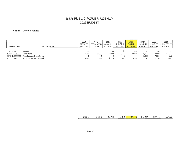#### **ACTIVITY Outside Service**

| Account Code                                          | <b>DESCRIPTION</b>                                                                | 2021<br><b>REVISED</b><br>BUDGET | YTD<br><b>ESTIMATED</b><br>12/31/21 | 2022<br>JAN-JUN<br><b>BUDGET</b> | 2022<br>JUL-DEC<br><b>BUDGET</b> | 2022<br><b>TOTAL</b><br><b>BUDGET</b> | 2023<br>JAN-JUN<br><b>BUDGET</b> | 2023<br>JUL-DEC<br><b>BUDGET</b> | 2023<br>PROJECTED<br><b>BUDGET</b> |
|-------------------------------------------------------|-----------------------------------------------------------------------------------|----------------------------------|-------------------------------------|----------------------------------|----------------------------------|---------------------------------------|----------------------------------|----------------------------------|------------------------------------|
| 302312.9230000 Generation<br>503312.9230000 Renewable | 601312.9230000 Regulatory & Compliance<br>701312.9230000 Administrative & General | \$0<br>18,000<br>5,540           | \$0<br>2.973<br>11.840              | \$0<br>2,000<br>2,710            | \$0<br>2.000<br>2,710            | \$0<br>4,000<br>5.420                 | 9,000<br>7,000<br>2,710          | \$0<br>9,000<br>7,000<br>2,710   | \$0<br>18,000<br>14,000<br>5,420   |

|                                            |                          |     |                              |                                                    | __ | -----   |               |
|--------------------------------------------|--------------------------|-----|------------------------------|----------------------------------------------------|----|---------|---------------|
| ጠጠ<br>$\overline{\phantom{a}}$<br>74<br>л. | ጡ ብ<br>~ -<br>J.<br>---- | \$4 | $\rightarrow$ 4.<br>\$4<br>Ш | $\sim$<br>ሖ<br>u<br>ФF<br>$\overline{\phantom{a}}$ |    | ۰L<br>л | $\sim$<br>۰D٠ |
|                                            |                          |     | ---                          |                                                    |    | --      |               |

 $\mathbf{r}$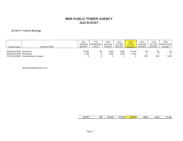#### **ACTIVITY Travel & Meetings**

| Account Code                                          | <b>DESCRIPTION</b>       | 2021<br><b>REVISED</b><br><b>BUDGET</b> | <b>YTD</b><br><b>ESTIMATED</b><br>12/31/21 | 2022<br>JAN-JUN<br><b>BUDGET</b> | 2022<br>JUL-DEC<br><b>BUDGET</b> | 2022<br><b>TOTAL</b><br><b>BUDGET</b> | 2023<br><b>JAN-JUN</b><br><b>BUDGET</b> | 2023<br>JUL-DEC<br><b>BUDGET</b> | 2023<br><b>PROJECTED</b><br><b>BUDGET</b> |
|-------------------------------------------------------|--------------------------|-----------------------------------------|--------------------------------------------|----------------------------------|----------------------------------|---------------------------------------|-----------------------------------------|----------------------------------|-------------------------------------------|
| 302203.9210000 Generation<br>503203.9210000 Renewable |                          | \$1,000<br>,000                         | \$0                                        | \$500<br>2.500                   | \$500<br>2,500                   | \$1,000<br>5,000                      | \$0                                     | \$0                              | \$0                                       |
| 701203.9210000                                        | Administrative & General |                                         |                                            |                                  |                                  |                                       | 500                                     | 500                              | .000                                      |

2022 Proposed Big Horn Tour

| -----          | __  |             |           |     | ___   |       |            |
|----------------|-----|-------------|-----------|-----|-------|-------|------------|
| .000<br>ሱሳ     |     | $\uparrow$  | ሱስ        | noo |       |       | ٬г         |
| $\overline{D}$ | \$0 | 000<br>۰י מ | 000<br>D. | \$6 | \$500 | \$500 | 000<br>۰D۰ |
|                |     |             |           |     |       |       |            |
| ---            |     | ----        |           |     |       |       |            |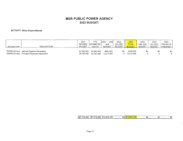#### **ACTIVITY Other Expenditures**

| Account Code | DESCRIPTION                                                                                | 2021<br>REVISED<br>BUDGET | YTD<br><b>IESTIMATEDI</b><br>12/31/21 | 2022<br>JAN-<br>JUN<br>BUDGET | 2022<br>JUL-DEC<br><b>BUDGET</b> | 2022<br><b>TOTAL</b><br><b>BUDGET</b> | 2023<br>JAN-JUN<br><b>BUDGET</b> | 2023<br>JUL-DEC<br><b>BUDGET</b> | 2023<br><b>PROJECTE</b><br>D BUDGET, |
|--------------|--------------------------------------------------------------------------------------------|---------------------------|---------------------------------------|-------------------------------|----------------------------------|---------------------------------------|----------------------------------|----------------------------------|--------------------------------------|
|              | 750160.427xxxx Interest Expense-Generation<br>100000.221xxxx Principal Payments-Generation | \$1,950,500<br>25,797,500 | \$1.950.500<br>25,797,500             | \$660,625<br>13.212,500       | \$0                              | \$660,625<br>13,212,500               | \$0                              | \$0                              | \$0                                  |

| \$27,748,000<br>\$13,873,125<br>\$27,748,000<br><u>ሐ/</u><br>\$0<br>125<br>T<br>n 70<br>JD L<br>ΨJ.<br>$\cdot$ or<br>AD |
|-------------------------------------------------------------------------------------------------------------------------|
|-------------------------------------------------------------------------------------------------------------------------|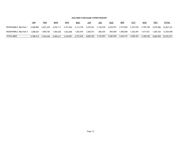|                        | JAN       | FEB       | <u>MAR</u> | APR       | <u>MAY</u> | <b>JUN</b> | <u>JUL</u>          | AUG                 | <u>SEP</u> | OC1                                                                                                                      | <u>NOV</u> | DEC                            | <u>TOTAL</u>         |
|------------------------|-----------|-----------|------------|-----------|------------|------------|---------------------|---------------------|------------|--------------------------------------------------------------------------------------------------------------------------|------------|--------------------------------|----------------------|
| RENEWABLE, Big Horn I  | 2,499,985 |           |            |           |            |            |                     |                     |            | 2,837,255 3,434,111 3,747,493 3,110,789 3,332,061 2,744,268 2,639,001 2,370,096 2,747,876 2,769,188 2,575,069 34,807,191 |            |                                |                      |
| RENEWABLE, Big Horn II | 1.299.534 | 1.486.195 | 1.565.206  | 1.593.498 | 1,262,616  | 1.268.701  | 988.585             | 943.638             | 1.069.040  |                                                                                                                          |            |                                | 1,367,434 15,594,480 |
| TOTAL MSR              | 3,799,519 | 4.323.450 | 4.999.317  | 5.340.991 | 4,373,405  |            | 4,600,763 3,732,853 | 3,582,638 3,439,137 |            | 4,080,357                                                                                                                |            | 4,186,740 3,942,503 50,401,671 |                      |

 $\sim$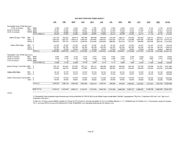|                                          |          |                  | <b>JAN</b> | FEB          | <b>MAR</b> | <b>APR</b>  | MAY         | <b>JUN</b> | JUL          | <b>AUG</b> | <b>SEP</b> | OCT       | <b>NOV</b> | DEC                  | <b>TOTAL</b> |
|------------------------------------------|----------|------------------|------------|--------------|------------|-------------|-------------|------------|--------------|------------|------------|-----------|------------|----------------------|--------------|
| Renewable Power (PPM) Big Horn I         |          |                  |            |              |            |             |             |            |              |            |            |           |            |                      |              |
| 12.5% of contract.                       | MID      | MWh              | 4,568      | 5,239        | 6,425      | 7,048       | 5,782       | 6,222      | 5,054        | 4.845      | 4,310      | 5,061     | 5.104      | 4.718                | 64,375       |
| 52.5% of contract.                       | SNCL     | MWh              | 19,187     | 22,002       | 26,985     | 29,601      | 24,286      | 26,133     | 21,226       | 20,348     | 18,103     | 21,256    | 21,434     | 19,814               | 270,375      |
| 35.0% of contract.                       | REDD MWh |                  | 12,791     | 14,668       | 17,990     | 19.734      | 16.191      | 17,422     | 14,151       | 13,565     | 12,069     | 14,171    | 14,290     | 13,209               | 180,250      |
|                                          |          | TOTAL MWh (1)    | 36,547     | 37,992       | 53,965     | 55,855      | 48,984      | 50,669     | 39,315       | 40,786     | 34,729     | 38,715    | 41,106     | 39,739               | 515,000      |
|                                          |          |                  |            |              |            |             |             |            |              |            |            |           |            |                      | 4,102,176    |
| Dollars (Energy + F&S)                   | MID      | S.               | 291,109    | 333,825      | 409,418    | 449,108     | 368,468     | 396,493    | 322,048      | 308,715    | 274,658    | 322,505   | 325,212    | 300,618<br>1,243,774 | 16,972,220   |
|                                          | SNCL \$  |                  | 1,204,429  | 1,381,161    | 1,693,919  | 1,858,134   | 1,524,495   | 1,640,444  | 1,332,435    | .277.274   | 1,136,366  | 1,334,326 | 1,345,464  |                      |              |
|                                          | REDD \$  |                  | 802,953    | 920,774      | 1,129,279  | 1,238,756   | 1,016,330   | 1,093,629  | 888,290      | 851,516    | 757,577    | 889,550   | 897,018    | 829,182              | 11,314,855   |
| Dollars (WIC Rate)                       | MID      | - \$             | 25,187     | 25,187       | 25,187     | 25,187      | 25,187      | 25,187     | 25.187       | 25,187     | 25,187     | 25,187    | 25,187     | 25.187               | 302,243      |
|                                          | SNCL \$  |                  | 105,785    | 105.785      | 105,785    | 105,785     | 105,785     | 105,785    | 105,785      | 105,785    | 105,785    | 105,785   | 105,785    | 105,785              | 1,269,419    |
|                                          | REDD \$  |                  | 70,523     | 70,523       | 70,523     | 70,523      | 70,523      | 70,523     | 70,523       | 70,523     | 70,523     | 70,523    | 70,523     | 70.523               | 846,279      |
|                                          |          | <b>TOTAL \$</b>  | 2.499.985  | 2,837,255    | 3.434.111  | 3,747,493   | 3,110,789   | 3,332,061  | 2,744,268    | 2,639,001  | 2,370,096  | 2,747,876 | 2,769,188  | 2,575,069            | 34,807,191   |
|                                          |          |                  |            |              |            |             |             |            |              |            |            |           |            |                      |              |
| Renewable Power (PPM) Big Horn II        |          |                  |            |              |            |             |             |            |              |            |            |           |            |                      |              |
| 65.0% of contract.                       | MID      | MWh              | 6,500      | 7,626        | 8,103      | 8,274       | 6,277       | 6,314      | 4,624        | 4,352      | 5.109      | 6,699     | 7,212      | 6,910                | 78,000       |
| 35.0% of contract.                       | SNCL     | MWh              | 3,500      | 4,107        | 4,363      | 4,455       | 3,380       | 3,400      | 2,490        | 2,344      | 2,751      | 3.607     | 3,883      | 3,721                | 42,000       |
| 0.0% of contract.                        |          | REDD MWh         | $\Omega$   | $\mathbf{0}$ | 0          | $\mathbf 0$ | $\mathbf 0$ | 0          | <sup>0</sup> | $\Omega$   | $\Omega$   | $\Omega$  | $\Omega$   | 0                    | $\Omega$     |
|                                          |          | TOTAL MWh (2)    | 10,000     | 11,733       | 12,466     | 12,729      | 9,657       | 9,714      | 7,113        | 6,696      | 7,860      | 10,306    | 11,096     | 10,630               | 120,000      |
| Dollars (Energy + See Note 4 MID         |          | \$               | 700.137    | 821,467      | 872,824    | 891,214     | 676,141     | 680,096    | 498,020      | 468,804    | 550,316    | 721,553   | 776,848    | 744,272              | 8,401,692    |
|                                          | SNCL \$  |                  | 376,997    | 442,328      | 469,982    | 479,884     | 364,076     | 366,205    | 268,165      | 252,433    | 296,324    | 388,528   | 418,303    | 400,762              | 4,523,988    |
|                                          |          |                  |            |              |            |             |             |            |              |            |            |           |            |                      |              |
| Dollars (WIC Rate)                       | MID      | - \$             | 34,125     | 34,125       | 34.125     | 34,125      | 34,125      | 34,125     | 34,125       | 34,125     | 34,125     | 34,125    | 34,125     | 34,125               | 409,500      |
|                                          | SNCL \$  |                  | 18,375     | 18,375       | 18,375     | 18,375      | 18,375      | 18,375     | 18,375       | 18,375     | 18,375     | 18,375    | 18,375     | 18,375               | 220,500      |
|                                          |          |                  |            |              |            |             |             | 110,435    | 110,435      | 110,435    | 110,435    | 110,435   | 110,435    | 110,435              | 1,325,220    |
| <b>Dollars (Transmission Service MID</b> |          | \$               | 110,435    | 110,435      | 110,435    | 110,435     | 110,435     |            |              |            |            |           |            | 59,465               |              |
|                                          | SNCL \$  |                  | 59,465     | 59,465       | 59,465     | 59,465      | 59,465      | 59,465     | 59,465       | 59,465     | 59,465     | 59,465    | 59,465     |                      | 713,580      |
|                                          |          | <b>TOTAL \$</b>  | 1,299,534  | 1,486,195    | 1,565,206  | 1,593,498   | 1,262,616   | 1,268,701  | 988,585      | 943,638    | 1,069,040  | 1,332,481 | 1,417,551  | 1,367,434            | 15,594,480   |
|                                          |          |                  |            |              |            |             |             |            |              |            |            |           |            |                      |              |
|                                          |          | <b>MSR TOTAL</b> | 3,799,519  | 4.323,450    | 4,999,317  | 5,340,991   | 4,373,405   | 4,600,763  | 3,732,853    | 3,582,638  | 3,439,137  | 4,080,357 | 4.186.740  | 3,942,503            | 50,401,671   |
|                                          |          |                  |            |              |            |             |             |            |              |            |            |           |            |                      |              |

NOTES:

(1) Renewable Power projected output forecast and pricing projections for 2022 & 2023 as per Martin Hopper email dated 10/4/2021 (spreadsheet: "Big Horn I Projections 2022.xlsx" and "Big Horn II Projections 2022.xlsx" )

(2) Big Horn II Dollars include \$/MWh charges for Energy per PPA Annex H, Assumes escalation of 2% on \$15/MWh effective 1-1-11; Redelivery per RA Section 2.6.1; Transmission Losses.RA Section 2.6.3 - assumes BPATS Incremental Replacement Power at \$60/MWh; and Operating Reserves per RA Section 2.6.4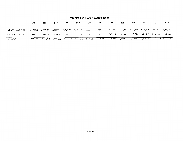|                        | <b>JAN</b> | <b>FEB</b> | <u>MAR</u> | <b>APR</b> | <u>MAY</u>                                        | <b>JUN</b> | <u>JUL</u> | <u>AUG</u> | <u>SEP</u>          | <u>OC1</u> | <b>NOV</b> | <b>DEC</b> | <b>TOTAL</b>         |
|------------------------|------------|------------|------------|------------|---------------------------------------------------|------------|------------|------------|---------------------|------------|------------|------------|----------------------|
| RENEWABLE, Big Horn I  | 2.499.985  |            |            |            | 2,837,255 3,434,111 3,747,493 3,110,789 3,332,061 |            | 2,744,268  | 2,639,001  | 2,370,096 2,757,917 |            | 2.779.314  |            | 2,584,429 34,836,717 |
| RENEWABLE, Big Horn II | 1.303.233  | 1.490.536  | 1.569.818  | 1.598.208  | 1,266.190                                         | 1,272,295  | 991,217    |            |                     | 1.339.746  | 1.425.112  | 1.374.821  | 15,649,240           |
| TOTAL MSR              | 3.803.219  | 4.327.791  | 5.003.929  | 5.345.701  | 4.376.978                                         | 4,604,357  | 3,735,484  | 3,585,116  | 3.442.045           | 4.097.663  | 4.204.426  |            | 3,959,250 50,485,957 |